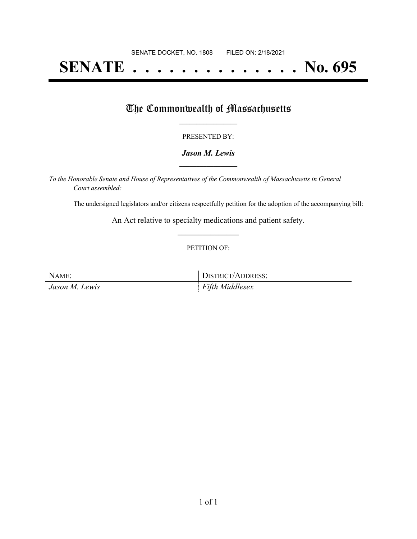# **SENATE . . . . . . . . . . . . . . No. 695**

### The Commonwealth of Massachusetts

#### PRESENTED BY:

#### *Jason M. Lewis* **\_\_\_\_\_\_\_\_\_\_\_\_\_\_\_\_\_**

*To the Honorable Senate and House of Representatives of the Commonwealth of Massachusetts in General Court assembled:*

The undersigned legislators and/or citizens respectfully petition for the adoption of the accompanying bill:

An Act relative to specialty medications and patient safety. **\_\_\_\_\_\_\_\_\_\_\_\_\_\_\_**

#### PETITION OF:

NAME: DISTRICT/ADDRESS: *Jason M. Lewis Fifth Middlesex*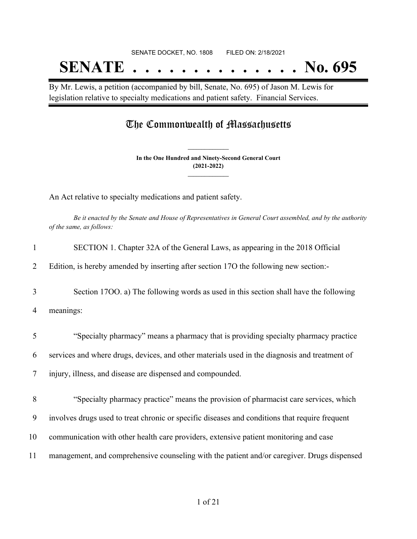# SENATE DOCKET, NO. 1808 FILED ON: 2/18/2021 **SENATE . . . . . . . . . . . . . . No. 695**

By Mr. Lewis, a petition (accompanied by bill, Senate, No. 695) of Jason M. Lewis for legislation relative to specialty medications and patient safety. Financial Services.

## The Commonwealth of Massachusetts

**In the One Hundred and Ninety-Second General Court (2021-2022) \_\_\_\_\_\_\_\_\_\_\_\_\_\_\_**

**\_\_\_\_\_\_\_\_\_\_\_\_\_\_\_**

An Act relative to specialty medications and patient safety.

Be it enacted by the Senate and House of Representatives in General Court assembled, and by the authority *of the same, as follows:*

| 1  | SECTION 1. Chapter 32A of the General Laws, as appearing in the 2018 Official                  |
|----|------------------------------------------------------------------------------------------------|
| 2  | Edition, is hereby amended by inserting after section 170 the following new section:-          |
| 3  | Section 1700. a) The following words as used in this section shall have the following          |
| 4  | meanings:                                                                                      |
| 5  | "Specialty pharmacy" means a pharmacy that is providing specialty pharmacy practice            |
| 6  | services and where drugs, devices, and other materials used in the diagnosis and treatment of  |
| 7  | injury, illness, and disease are dispensed and compounded.                                     |
| 8  | "Specialty pharmacy practice" means the provision of pharmacist care services, which           |
| 9  | involves drugs used to treat chronic or specific diseases and conditions that require frequent |
| 10 | communication with other health care providers, extensive patient monitoring and case          |
| 11 | management, and comprehensive counseling with the patient and/or caregiver. Drugs dispensed    |
|    |                                                                                                |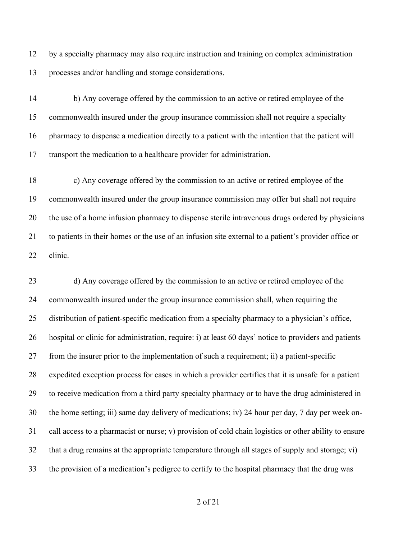by a specialty pharmacy may also require instruction and training on complex administration processes and/or handling and storage considerations.

 b) Any coverage offered by the commission to an active or retired employee of the commonwealth insured under the group insurance commission shall not require a specialty pharmacy to dispense a medication directly to a patient with the intention that the patient will transport the medication to a healthcare provider for administration.

 c) Any coverage offered by the commission to an active or retired employee of the commonwealth insured under the group insurance commission may offer but shall not require the use of a home infusion pharmacy to dispense sterile intravenous drugs ordered by physicians to patients in their homes or the use of an infusion site external to a patient's provider office or clinic.

 d) Any coverage offered by the commission to an active or retired employee of the commonwealth insured under the group insurance commission shall, when requiring the distribution of patient-specific medication from a specialty pharmacy to a physician's office, hospital or clinic for administration, require: i) at least 60 days' notice to providers and patients from the insurer prior to the implementation of such a requirement; ii) a patient-specific expedited exception process for cases in which a provider certifies that it is unsafe for a patient to receive medication from a third party specialty pharmacy or to have the drug administered in the home setting; iii) same day delivery of medications; iv) 24 hour per day, 7 day per week on- call access to a pharmacist or nurse; v) provision of cold chain logistics or other ability to ensure that a drug remains at the appropriate temperature through all stages of supply and storage; vi) the provision of a medication's pedigree to certify to the hospital pharmacy that the drug was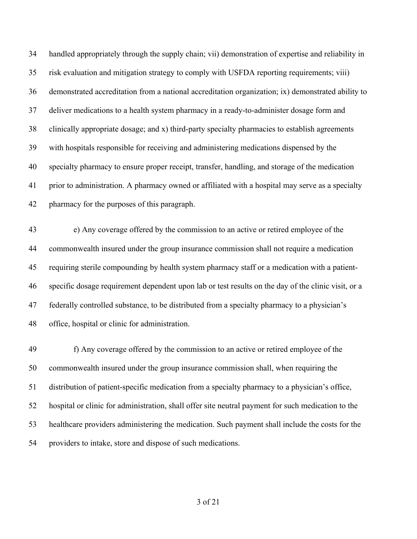handled appropriately through the supply chain; vii) demonstration of expertise and reliability in risk evaluation and mitigation strategy to comply with USFDA reporting requirements; viii) demonstrated accreditation from a national accreditation organization; ix) demonstrated ability to deliver medications to a health system pharmacy in a ready-to-administer dosage form and clinically appropriate dosage; and x) third-party specialty pharmacies to establish agreements with hospitals responsible for receiving and administering medications dispensed by the specialty pharmacy to ensure proper receipt, transfer, handling, and storage of the medication prior to administration. A pharmacy owned or affiliated with a hospital may serve as a specialty pharmacy for the purposes of this paragraph.

 e) Any coverage offered by the commission to an active or retired employee of the commonwealth insured under the group insurance commission shall not require a medication requiring sterile compounding by health system pharmacy staff or a medication with a patient- specific dosage requirement dependent upon lab or test results on the day of the clinic visit, or a federally controlled substance, to be distributed from a specialty pharmacy to a physician's office, hospital or clinic for administration.

 f) Any coverage offered by the commission to an active or retired employee of the commonwealth insured under the group insurance commission shall, when requiring the distribution of patient-specific medication from a specialty pharmacy to a physician's office, hospital or clinic for administration, shall offer site neutral payment for such medication to the healthcare providers administering the medication. Such payment shall include the costs for the providers to intake, store and dispose of such medications.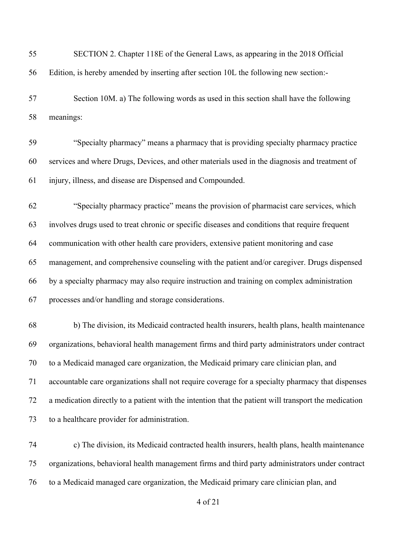| 55 | SECTION 2. Chapter 118E of the General Laws, as appearing in the 2018 Official                       |
|----|------------------------------------------------------------------------------------------------------|
| 56 | Edition, is hereby amended by inserting after section 10L the following new section:-                |
| 57 | Section 10M. a) The following words as used in this section shall have the following                 |
| 58 | meanings:                                                                                            |
| 59 | "Specialty pharmacy" means a pharmacy that is providing specialty pharmacy practice                  |
| 60 | services and where Drugs, Devices, and other materials used in the diagnosis and treatment of        |
| 61 | injury, illness, and disease are Dispensed and Compounded.                                           |
| 62 | "Specialty pharmacy practice" means the provision of pharmacist care services, which                 |
| 63 | involves drugs used to treat chronic or specific diseases and conditions that require frequent       |
| 64 | communication with other health care providers, extensive patient monitoring and case                |
| 65 | management, and comprehensive counseling with the patient and/or caregiver. Drugs dispensed          |
| 66 | by a specialty pharmacy may also require instruction and training on complex administration          |
| 67 | processes and/or handling and storage considerations.                                                |
| 68 | b) The division, its Medicaid contracted health insurers, health plans, health maintenance           |
| 69 | organizations, behavioral health management firms and third party administrators under contract      |
| 70 | to a Medicaid managed care organization, the Medicaid primary care clinician plan, and               |
| 71 | accountable care organizations shall not require coverage for a specialty pharmacy that dispenses    |
| 72 | a medication directly to a patient with the intention that the patient will transport the medication |
| 73 | to a healthcare provider for administration.                                                         |
| 74 | c) The division, its Medicaid contracted health insurers, health plans, health maintenance           |
| 75 | organizations, behavioral health management firms and third party administrators under contract      |
| 76 | to a Medicaid managed care organization, the Medicaid primary care clinician plan, and               |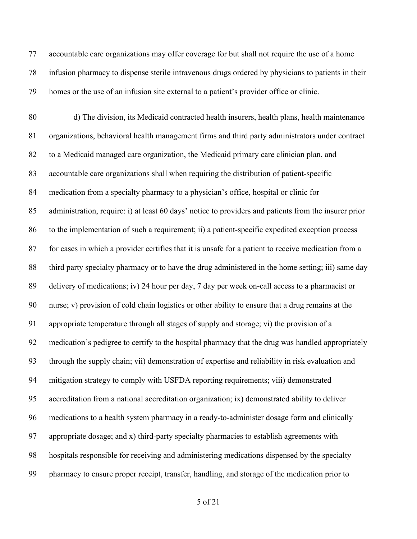accountable care organizations may offer coverage for but shall not require the use of a home infusion pharmacy to dispense sterile intravenous drugs ordered by physicians to patients in their homes or the use of an infusion site external to a patient's provider office or clinic.

 d) The division, its Medicaid contracted health insurers, health plans, health maintenance organizations, behavioral health management firms and third party administrators under contract to a Medicaid managed care organization, the Medicaid primary care clinician plan, and accountable care organizations shall when requiring the distribution of patient-specific medication from a specialty pharmacy to a physician's office, hospital or clinic for administration, require: i) at least 60 days' notice to providers and patients from the insurer prior to the implementation of such a requirement; ii) a patient-specific expedited exception process for cases in which a provider certifies that it is unsafe for a patient to receive medication from a third party specialty pharmacy or to have the drug administered in the home setting; iii) same day delivery of medications; iv) 24 hour per day, 7 day per week on-call access to a pharmacist or nurse; v) provision of cold chain logistics or other ability to ensure that a drug remains at the appropriate temperature through all stages of supply and storage; vi) the provision of a medication's pedigree to certify to the hospital pharmacy that the drug was handled appropriately through the supply chain; vii) demonstration of expertise and reliability in risk evaluation and mitigation strategy to comply with USFDA reporting requirements; viii) demonstrated accreditation from a national accreditation organization; ix) demonstrated ability to deliver medications to a health system pharmacy in a ready-to-administer dosage form and clinically appropriate dosage; and x) third-party specialty pharmacies to establish agreements with hospitals responsible for receiving and administering medications dispensed by the specialty pharmacy to ensure proper receipt, transfer, handling, and storage of the medication prior to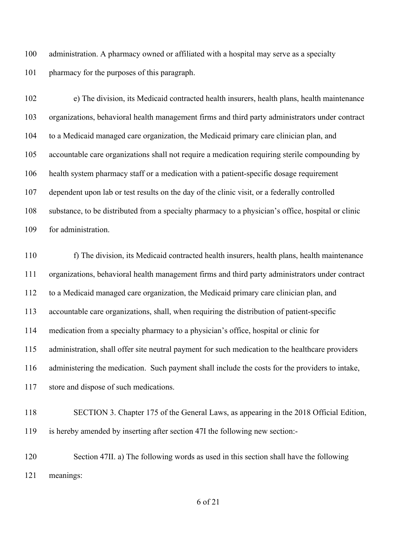administration. A pharmacy owned or affiliated with a hospital may serve as a specialty pharmacy for the purposes of this paragraph.

 e) The division, its Medicaid contracted health insurers, health plans, health maintenance organizations, behavioral health management firms and third party administrators under contract to a Medicaid managed care organization, the Medicaid primary care clinician plan, and accountable care organizations shall not require a medication requiring sterile compounding by health system pharmacy staff or a medication with a patient-specific dosage requirement dependent upon lab or test results on the day of the clinic visit, or a federally controlled substance, to be distributed from a specialty pharmacy to a physician's office, hospital or clinic for administration.

 f) The division, its Medicaid contracted health insurers, health plans, health maintenance organizations, behavioral health management firms and third party administrators under contract to a Medicaid managed care organization, the Medicaid primary care clinician plan, and accountable care organizations, shall, when requiring the distribution of patient-specific medication from a specialty pharmacy to a physician's office, hospital or clinic for administration, shall offer site neutral payment for such medication to the healthcare providers administering the medication. Such payment shall include the costs for the providers to intake, store and dispose of such medications.

 SECTION 3. Chapter 175 of the General Laws, as appearing in the 2018 Official Edition, is hereby amended by inserting after section 47I the following new section:-

 Section 47II. a) The following words as used in this section shall have the following meanings: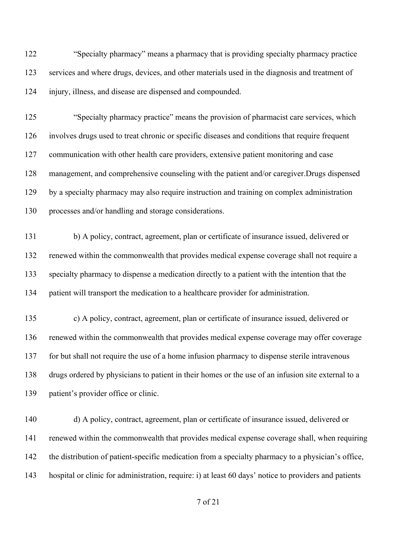"Specialty pharmacy" means a pharmacy that is providing specialty pharmacy practice services and where drugs, devices, and other materials used in the diagnosis and treatment of injury, illness, and disease are dispensed and compounded.

 "Specialty pharmacy practice" means the provision of pharmacist care services, which involves drugs used to treat chronic or specific diseases and conditions that require frequent communication with other health care providers, extensive patient monitoring and case management, and comprehensive counseling with the patient and/or caregiver.Drugs dispensed by a specialty pharmacy may also require instruction and training on complex administration processes and/or handling and storage considerations.

 b) A policy, contract, agreement, plan or certificate of insurance issued, delivered or renewed within the commonwealth that provides medical expense coverage shall not require a specialty pharmacy to dispense a medication directly to a patient with the intention that the patient will transport the medication to a healthcare provider for administration.

 c) A policy, contract, agreement, plan or certificate of insurance issued, delivered or renewed within the commonwealth that provides medical expense coverage may offer coverage for but shall not require the use of a home infusion pharmacy to dispense sterile intravenous drugs ordered by physicians to patient in their homes or the use of an infusion site external to a patient's provider office or clinic.

 d) A policy, contract, agreement, plan or certificate of insurance issued, delivered or renewed within the commonwealth that provides medical expense coverage shall, when requiring the distribution of patient-specific medication from a specialty pharmacy to a physician's office, hospital or clinic for administration, require: i) at least 60 days' notice to providers and patients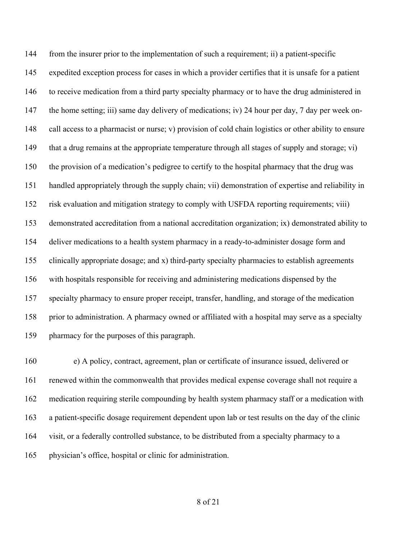from the insurer prior to the implementation of such a requirement; ii) a patient-specific expedited exception process for cases in which a provider certifies that it is unsafe for a patient to receive medication from a third party specialty pharmacy or to have the drug administered in the home setting; iii) same day delivery of medications; iv) 24 hour per day, 7 day per week on- call access to a pharmacist or nurse; v) provision of cold chain logistics or other ability to ensure that a drug remains at the appropriate temperature through all stages of supply and storage; vi) the provision of a medication's pedigree to certify to the hospital pharmacy that the drug was handled appropriately through the supply chain; vii) demonstration of expertise and reliability in risk evaluation and mitigation strategy to comply with USFDA reporting requirements; viii) demonstrated accreditation from a national accreditation organization; ix) demonstrated ability to deliver medications to a health system pharmacy in a ready-to-administer dosage form and clinically appropriate dosage; and x) third-party specialty pharmacies to establish agreements with hospitals responsible for receiving and administering medications dispensed by the specialty pharmacy to ensure proper receipt, transfer, handling, and storage of the medication prior to administration. A pharmacy owned or affiliated with a hospital may serve as a specialty pharmacy for the purposes of this paragraph.

 e) A policy, contract, agreement, plan or certificate of insurance issued, delivered or renewed within the commonwealth that provides medical expense coverage shall not require a medication requiring sterile compounding by health system pharmacy staff or a medication with a patient-specific dosage requirement dependent upon lab or test results on the day of the clinic visit, or a federally controlled substance, to be distributed from a specialty pharmacy to a physician's office, hospital or clinic for administration.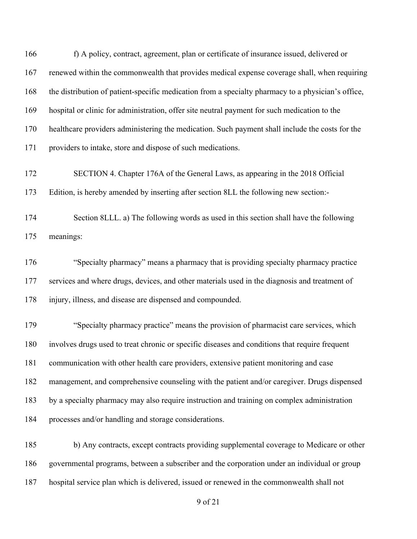166 f) A policy, contract, agreement, plan or certificate of insurance issued, delivered or renewed within the commonwealth that provides medical expense coverage shall, when requiring the distribution of patient-specific medication from a specialty pharmacy to a physician's office, hospital or clinic for administration, offer site neutral payment for such medication to the healthcare providers administering the medication. Such payment shall include the costs for the providers to intake, store and dispose of such medications. SECTION 4. Chapter 176A of the General Laws, as appearing in the 2018 Official Edition, is hereby amended by inserting after section 8LL the following new section:- Section 8LLL. a) The following words as used in this section shall have the following meanings: "Specialty pharmacy" means a pharmacy that is providing specialty pharmacy practice services and where drugs, devices, and other materials used in the diagnosis and treatment of injury, illness, and disease are dispensed and compounded. "Specialty pharmacy practice" means the provision of pharmacist care services, which involves drugs used to treat chronic or specific diseases and conditions that require frequent communication with other health care providers, extensive patient monitoring and case management, and comprehensive counseling with the patient and/or caregiver. Drugs dispensed by a specialty pharmacy may also require instruction and training on complex administration processes and/or handling and storage considerations. b) Any contracts, except contracts providing supplemental coverage to Medicare or other governmental programs, between a subscriber and the corporation under an individual or group

hospital service plan which is delivered, issued or renewed in the commonwealth shall not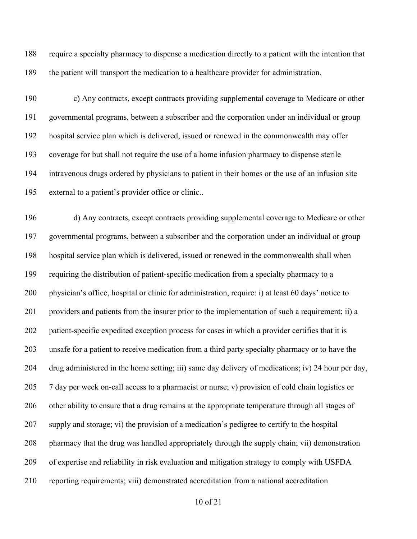require a specialty pharmacy to dispense a medication directly to a patient with the intention that the patient will transport the medication to a healthcare provider for administration.

 c) Any contracts, except contracts providing supplemental coverage to Medicare or other governmental programs, between a subscriber and the corporation under an individual or group hospital service plan which is delivered, issued or renewed in the commonwealth may offer coverage for but shall not require the use of a home infusion pharmacy to dispense sterile intravenous drugs ordered by physicians to patient in their homes or the use of an infusion site external to a patient's provider office or clinic..

 d) Any contracts, except contracts providing supplemental coverage to Medicare or other governmental programs, between a subscriber and the corporation under an individual or group hospital service plan which is delivered, issued or renewed in the commonwealth shall when requiring the distribution of patient-specific medication from a specialty pharmacy to a physician's office, hospital or clinic for administration, require: i) at least 60 days' notice to providers and patients from the insurer prior to the implementation of such a requirement; ii) a patient-specific expedited exception process for cases in which a provider certifies that it is unsafe for a patient to receive medication from a third party specialty pharmacy or to have the drug administered in the home setting; iii) same day delivery of medications; iv) 24 hour per day, 7 day per week on-call access to a pharmacist or nurse; v) provision of cold chain logistics or 206 other ability to ensure that a drug remains at the appropriate temperature through all stages of supply and storage; vi) the provision of a medication's pedigree to certify to the hospital pharmacy that the drug was handled appropriately through the supply chain; vii) demonstration of expertise and reliability in risk evaluation and mitigation strategy to comply with USFDA reporting requirements; viii) demonstrated accreditation from a national accreditation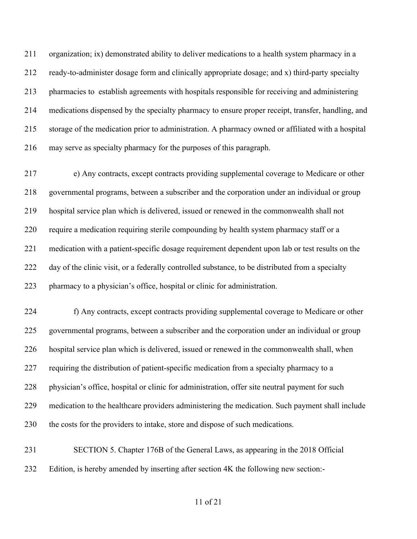organization; ix) demonstrated ability to deliver medications to a health system pharmacy in a ready-to-administer dosage form and clinically appropriate dosage; and x) third-party specialty pharmacies to establish agreements with hospitals responsible for receiving and administering medications dispensed by the specialty pharmacy to ensure proper receipt, transfer, handling, and storage of the medication prior to administration. A pharmacy owned or affiliated with a hospital may serve as specialty pharmacy for the purposes of this paragraph.

 e) Any contracts, except contracts providing supplemental coverage to Medicare or other governmental programs, between a subscriber and the corporation under an individual or group hospital service plan which is delivered, issued or renewed in the commonwealth shall not require a medication requiring sterile compounding by health system pharmacy staff or a medication with a patient-specific dosage requirement dependent upon lab or test results on the 222 day of the clinic visit, or a federally controlled substance, to be distributed from a specialty pharmacy to a physician's office, hospital or clinic for administration.

 f) Any contracts, except contracts providing supplemental coverage to Medicare or other governmental programs, between a subscriber and the corporation under an individual or group hospital service plan which is delivered, issued or renewed in the commonwealth shall, when requiring the distribution of patient-specific medication from a specialty pharmacy to a physician's office, hospital or clinic for administration, offer site neutral payment for such medication to the healthcare providers administering the medication. Such payment shall include the costs for the providers to intake, store and dispose of such medications.

 SECTION 5. Chapter 176B of the General Laws, as appearing in the 2018 Official Edition, is hereby amended by inserting after section 4K the following new section:-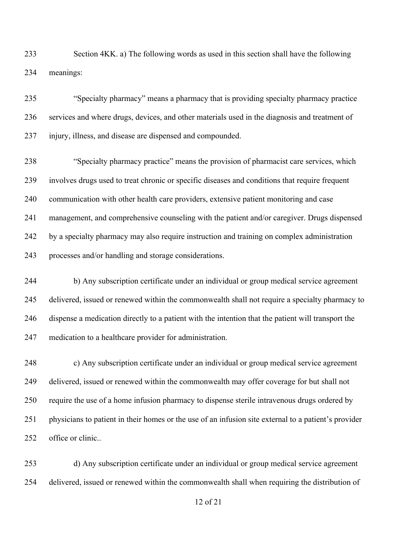Section 4KK. a) The following words as used in this section shall have the following meanings:

 "Specialty pharmacy" means a pharmacy that is providing specialty pharmacy practice services and where drugs, devices, and other materials used in the diagnosis and treatment of injury, illness, and disease are dispensed and compounded.

 "Specialty pharmacy practice" means the provision of pharmacist care services, which involves drugs used to treat chronic or specific diseases and conditions that require frequent communication with other health care providers, extensive patient monitoring and case management, and comprehensive counseling with the patient and/or caregiver. Drugs dispensed by a specialty pharmacy may also require instruction and training on complex administration processes and/or handling and storage considerations.

244 b) Any subscription certificate under an individual or group medical service agreement delivered, issued or renewed within the commonwealth shall not require a specialty pharmacy to dispense a medication directly to a patient with the intention that the patient will transport the medication to a healthcare provider for administration.

 c) Any subscription certificate under an individual or group medical service agreement delivered, issued or renewed within the commonwealth may offer coverage for but shall not require the use of a home infusion pharmacy to dispense sterile intravenous drugs ordered by physicians to patient in their homes or the use of an infusion site external to a patient's provider office or clinic..

 d) Any subscription certificate under an individual or group medical service agreement delivered, issued or renewed within the commonwealth shall when requiring the distribution of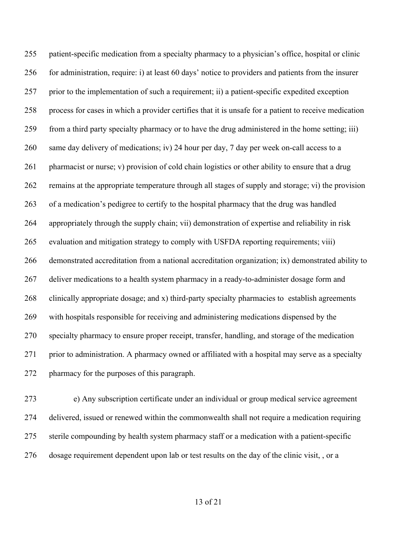patient-specific medication from a specialty pharmacy to a physician's office, hospital or clinic for administration, require: i) at least 60 days' notice to providers and patients from the insurer prior to the implementation of such a requirement; ii) a patient-specific expedited exception process for cases in which a provider certifies that it is unsafe for a patient to receive medication from a third party specialty pharmacy or to have the drug administered in the home setting; iii) same day delivery of medications; iv) 24 hour per day, 7 day per week on-call access to a pharmacist or nurse; v) provision of cold chain logistics or other ability to ensure that a drug remains at the appropriate temperature through all stages of supply and storage; vi) the provision of a medication's pedigree to certify to the hospital pharmacy that the drug was handled appropriately through the supply chain; vii) demonstration of expertise and reliability in risk evaluation and mitigation strategy to comply with USFDA reporting requirements; viii) demonstrated accreditation from a national accreditation organization; ix) demonstrated ability to 267 deliver medications to a health system pharmacy in a ready-to-administer dosage form and clinically appropriate dosage; and x) third-party specialty pharmacies to establish agreements with hospitals responsible for receiving and administering medications dispensed by the specialty pharmacy to ensure proper receipt, transfer, handling, and storage of the medication prior to administration. A pharmacy owned or affiliated with a hospital may serve as a specialty pharmacy for the purposes of this paragraph.

 e) Any subscription certificate under an individual or group medical service agreement delivered, issued or renewed within the commonwealth shall not require a medication requiring sterile compounding by health system pharmacy staff or a medication with a patient-specific dosage requirement dependent upon lab or test results on the day of the clinic visit, , or a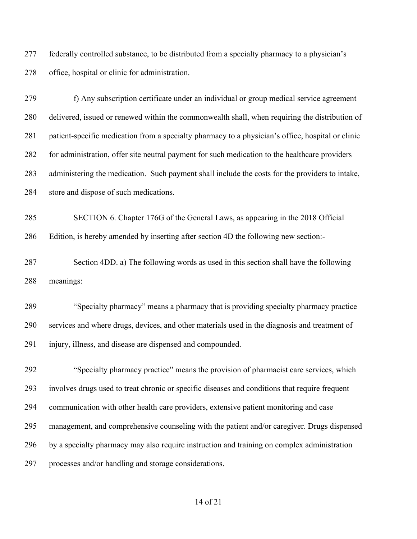federally controlled substance, to be distributed from a specialty pharmacy to a physician's office, hospital or clinic for administration.

279 f) Any subscription certificate under an individual or group medical service agreement delivered, issued or renewed within the commonwealth shall, when requiring the distribution of patient-specific medication from a specialty pharmacy to a physician's office, hospital or clinic for administration, offer site neutral payment for such medication to the healthcare providers administering the medication. Such payment shall include the costs for the providers to intake, store and dispose of such medications.

 SECTION 6. Chapter 176G of the General Laws, as appearing in the 2018 Official Edition, is hereby amended by inserting after section 4D the following new section:-

 Section 4DD. a) The following words as used in this section shall have the following meanings:

 "Specialty pharmacy" means a pharmacy that is providing specialty pharmacy practice services and where drugs, devices, and other materials used in the diagnosis and treatment of injury, illness, and disease are dispensed and compounded.

 "Specialty pharmacy practice" means the provision of pharmacist care services, which involves drugs used to treat chronic or specific diseases and conditions that require frequent communication with other health care providers, extensive patient monitoring and case management, and comprehensive counseling with the patient and/or caregiver. Drugs dispensed by a specialty pharmacy may also require instruction and training on complex administration processes and/or handling and storage considerations.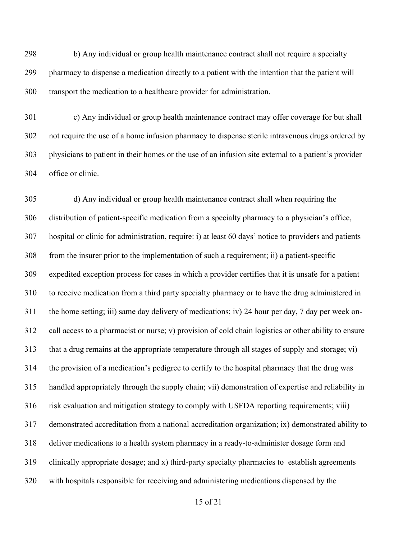298 b) Any individual or group health maintenance contract shall not require a specialty pharmacy to dispense a medication directly to a patient with the intention that the patient will transport the medication to a healthcare provider for administration.

 c) Any individual or group health maintenance contract may offer coverage for but shall not require the use of a home infusion pharmacy to dispense sterile intravenous drugs ordered by physicians to patient in their homes or the use of an infusion site external to a patient's provider office or clinic.

 d) Any individual or group health maintenance contract shall when requiring the distribution of patient-specific medication from a specialty pharmacy to a physician's office, hospital or clinic for administration, require: i) at least 60 days' notice to providers and patients from the insurer prior to the implementation of such a requirement; ii) a patient-specific expedited exception process for cases in which a provider certifies that it is unsafe for a patient to receive medication from a third party specialty pharmacy or to have the drug administered in the home setting; iii) same day delivery of medications; iv) 24 hour per day, 7 day per week on- call access to a pharmacist or nurse; v) provision of cold chain logistics or other ability to ensure that a drug remains at the appropriate temperature through all stages of supply and storage; vi) the provision of a medication's pedigree to certify to the hospital pharmacy that the drug was handled appropriately through the supply chain; vii) demonstration of expertise and reliability in risk evaluation and mitigation strategy to comply with USFDA reporting requirements; viii) demonstrated accreditation from a national accreditation organization; ix) demonstrated ability to deliver medications to a health system pharmacy in a ready-to-administer dosage form and clinically appropriate dosage; and x) third-party specialty pharmacies to establish agreements with hospitals responsible for receiving and administering medications dispensed by the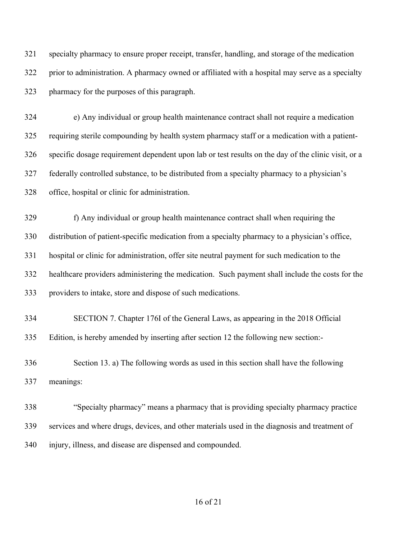specialty pharmacy to ensure proper receipt, transfer, handling, and storage of the medication prior to administration. A pharmacy owned or affiliated with a hospital may serve as a specialty pharmacy for the purposes of this paragraph.

 e) Any individual or group health maintenance contract shall not require a medication requiring sterile compounding by health system pharmacy staff or a medication with a patient- specific dosage requirement dependent upon lab or test results on the day of the clinic visit, or a federally controlled substance, to be distributed from a specialty pharmacy to a physician's office, hospital or clinic for administration.

 f) Any individual or group health maintenance contract shall when requiring the distribution of patient-specific medication from a specialty pharmacy to a physician's office, hospital or clinic for administration, offer site neutral payment for such medication to the healthcare providers administering the medication. Such payment shall include the costs for the providers to intake, store and dispose of such medications.

 SECTION 7. Chapter 176I of the General Laws, as appearing in the 2018 Official Edition, is hereby amended by inserting after section 12 the following new section:-

 Section 13. a) The following words as used in this section shall have the following meanings:

 "Specialty pharmacy" means a pharmacy that is providing specialty pharmacy practice services and where drugs, devices, and other materials used in the diagnosis and treatment of injury, illness, and disease are dispensed and compounded.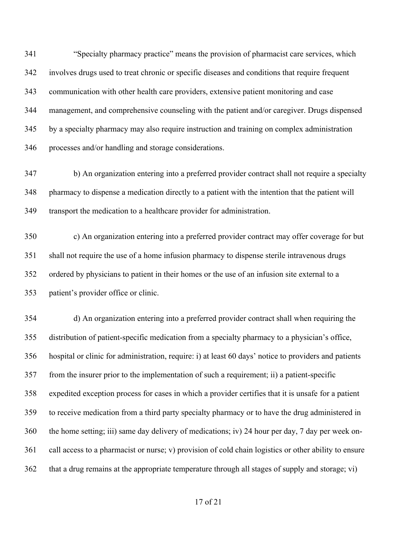"Specialty pharmacy practice" means the provision of pharmacist care services, which involves drugs used to treat chronic or specific diseases and conditions that require frequent communication with other health care providers, extensive patient monitoring and case management, and comprehensive counseling with the patient and/or caregiver. Drugs dispensed by a specialty pharmacy may also require instruction and training on complex administration processes and/or handling and storage considerations.

 b) An organization entering into a preferred provider contract shall not require a specialty pharmacy to dispense a medication directly to a patient with the intention that the patient will transport the medication to a healthcare provider for administration.

 c) An organization entering into a preferred provider contract may offer coverage for but shall not require the use of a home infusion pharmacy to dispense sterile intravenous drugs ordered by physicians to patient in their homes or the use of an infusion site external to a patient's provider office or clinic.

 d) An organization entering into a preferred provider contract shall when requiring the distribution of patient-specific medication from a specialty pharmacy to a physician's office, hospital or clinic for administration, require: i) at least 60 days' notice to providers and patients from the insurer prior to the implementation of such a requirement; ii) a patient-specific expedited exception process for cases in which a provider certifies that it is unsafe for a patient to receive medication from a third party specialty pharmacy or to have the drug administered in the home setting; iii) same day delivery of medications; iv) 24 hour per day, 7 day per week on- call access to a pharmacist or nurse; v) provision of cold chain logistics or other ability to ensure that a drug remains at the appropriate temperature through all stages of supply and storage; vi)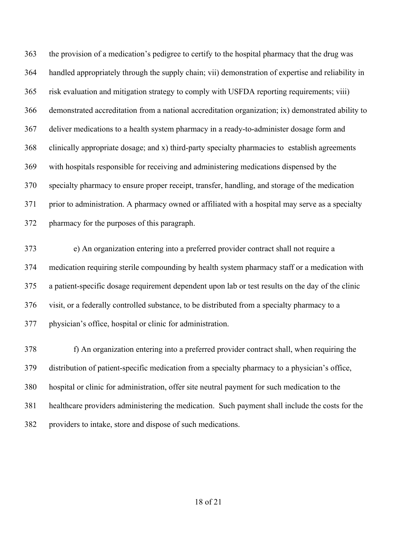the provision of a medication's pedigree to certify to the hospital pharmacy that the drug was handled appropriately through the supply chain; vii) demonstration of expertise and reliability in risk evaluation and mitigation strategy to comply with USFDA reporting requirements; viii) demonstrated accreditation from a national accreditation organization; ix) demonstrated ability to deliver medications to a health system pharmacy in a ready-to-administer dosage form and clinically appropriate dosage; and x) third-party specialty pharmacies to establish agreements with hospitals responsible for receiving and administering medications dispensed by the specialty pharmacy to ensure proper receipt, transfer, handling, and storage of the medication prior to administration. A pharmacy owned or affiliated with a hospital may serve as a specialty pharmacy for the purposes of this paragraph.

 e) An organization entering into a preferred provider contract shall not require a medication requiring sterile compounding by health system pharmacy staff or a medication with a patient-specific dosage requirement dependent upon lab or test results on the day of the clinic visit, or a federally controlled substance, to be distributed from a specialty pharmacy to a physician's office, hospital or clinic for administration.

378 f) An organization entering into a preferred provider contract shall, when requiring the distribution of patient-specific medication from a specialty pharmacy to a physician's office, hospital or clinic for administration, offer site neutral payment for such medication to the healthcare providers administering the medication. Such payment shall include the costs for the providers to intake, store and dispose of such medications.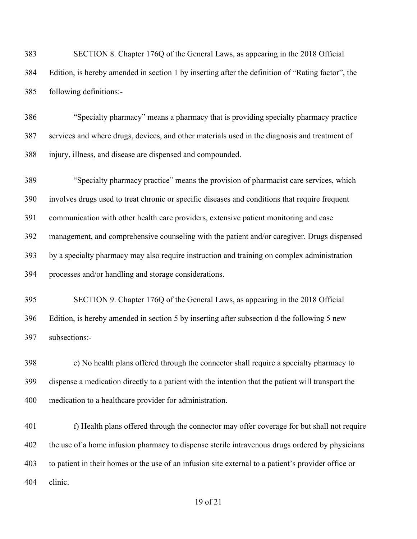| 383 | SECTION 8. Chapter 176Q of the General Laws, as appearing in the 2018 Official                    |
|-----|---------------------------------------------------------------------------------------------------|
| 384 | Edition, is hereby amended in section 1 by inserting after the definition of "Rating factor", the |
| 385 | following definitions:-                                                                           |

 "Specialty pharmacy" means a pharmacy that is providing specialty pharmacy practice services and where drugs, devices, and other materials used in the diagnosis and treatment of injury, illness, and disease are dispensed and compounded.

 "Specialty pharmacy practice" means the provision of pharmacist care services, which involves drugs used to treat chronic or specific diseases and conditions that require frequent communication with other health care providers, extensive patient monitoring and case management, and comprehensive counseling with the patient and/or caregiver. Drugs dispensed by a specialty pharmacy may also require instruction and training on complex administration processes and/or handling and storage considerations.

 SECTION 9. Chapter 176Q of the General Laws, as appearing in the 2018 Official Edition, is hereby amended in section 5 by inserting after subsection d the following 5 new subsections:-

 e) No health plans offered through the connector shall require a specialty pharmacy to dispense a medication directly to a patient with the intention that the patient will transport the medication to a healthcare provider for administration.

401 f) Health plans offered through the connector may offer coverage for but shall not require 402 the use of a home infusion pharmacy to dispense sterile intravenous drugs ordered by physicians to patient in their homes or the use of an infusion site external to a patient's provider office or clinic.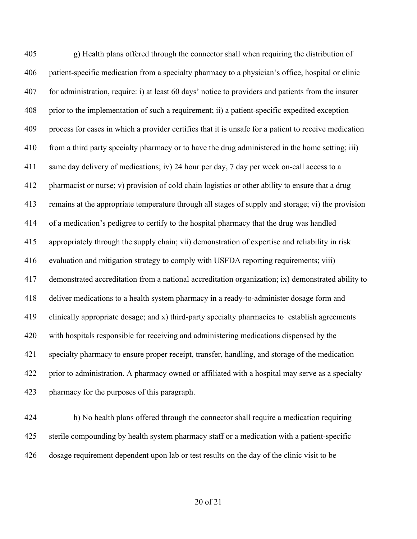g) Health plans offered through the connector shall when requiring the distribution of patient-specific medication from a specialty pharmacy to a physician's office, hospital or clinic for administration, require: i) at least 60 days' notice to providers and patients from the insurer prior to the implementation of such a requirement; ii) a patient-specific expedited exception process for cases in which a provider certifies that it is unsafe for a patient to receive medication from a third party specialty pharmacy or to have the drug administered in the home setting; iii) same day delivery of medications; iv) 24 hour per day, 7 day per week on-call access to a pharmacist or nurse; v) provision of cold chain logistics or other ability to ensure that a drug remains at the appropriate temperature through all stages of supply and storage; vi) the provision of a medication's pedigree to certify to the hospital pharmacy that the drug was handled appropriately through the supply chain; vii) demonstration of expertise and reliability in risk evaluation and mitigation strategy to comply with USFDA reporting requirements; viii) demonstrated accreditation from a national accreditation organization; ix) demonstrated ability to deliver medications to a health system pharmacy in a ready-to-administer dosage form and clinically appropriate dosage; and x) third-party specialty pharmacies to establish agreements with hospitals responsible for receiving and administering medications dispensed by the specialty pharmacy to ensure proper receipt, transfer, handling, and storage of the medication prior to administration. A pharmacy owned or affiliated with a hospital may serve as a specialty pharmacy for the purposes of this paragraph.

 h) No health plans offered through the connector shall require a medication requiring sterile compounding by health system pharmacy staff or a medication with a patient-specific dosage requirement dependent upon lab or test results on the day of the clinic visit to be